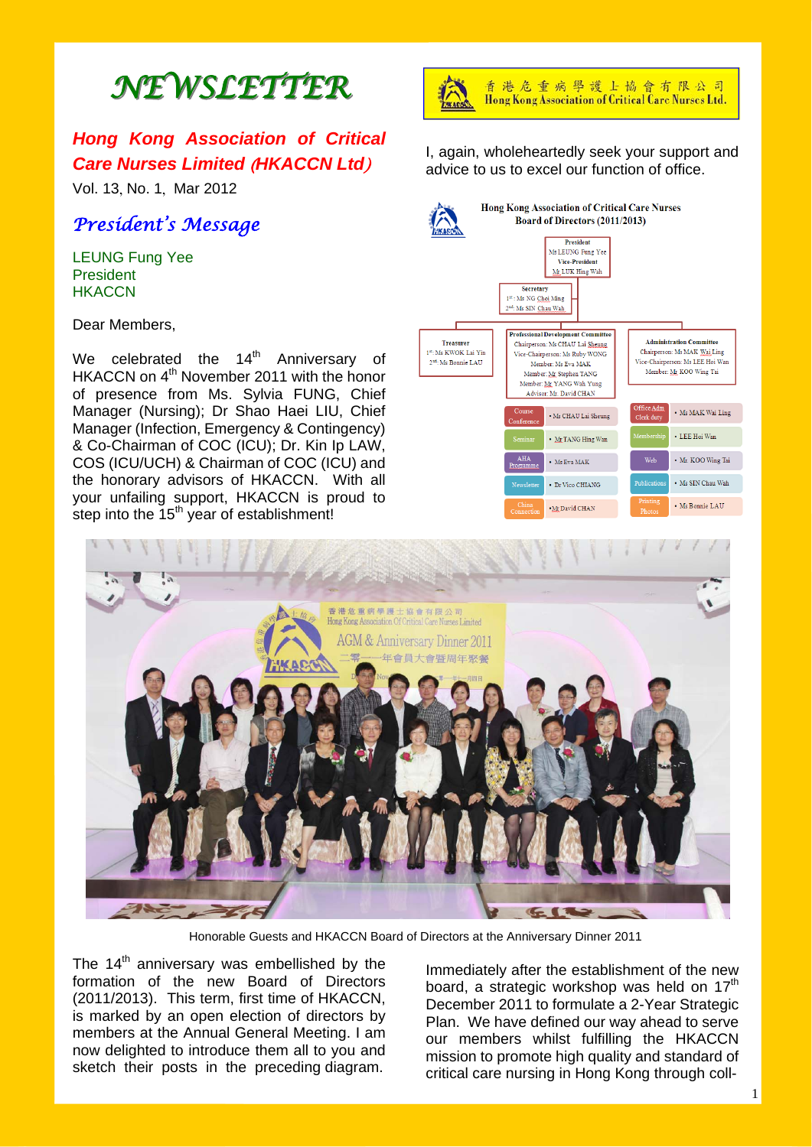# *NEWSLETTER NEWSLETTER*

# *Hong Kong Association of Critical Care Nurses Limited* (*HKACCN Ltd*)

Vol. 13, No. 1, Mar 2012

# *President's Message*

LEUNG Fung Yee **President HKACCN** 

Dear Members,

We celebrated the  $14<sup>th</sup>$  Anniversary of HKACCN on 4<sup>th</sup> November 2011 with the honor of presence from Ms. Sylvia FUNG, Chief Manager (Nursing); Dr Shao Haei LIU, Chief Manager (Infection, Emergency & Contingency) & Co-Chairman of COC (ICU); Dr. Kin Ip LAW, COS (ICU/UCH) & Chairman of COC (ICU) and the honorary advisors of HKACCN. With all your unfailing support, HKACCN is proud to step into the  $15<sup>th</sup>$  year of establishment!



香港危重病學護士協會有限公司 Hong Kong Association of Critical Care Nurses Ltd.

I, again, wholeheartedly seek your support and advice to us to excel our function of office.





Honorable Guests and HKACCN Board of Directors at the Anniversary Dinner 2011

The  $14<sup>th</sup>$  anniversary was embellished by the formation of the new Board of Directors (2011/2013). This term, first time of HKACCN, is marked by an open election of directors by members at the Annual General Meeting. I am now delighted to introduce them all to you and sketch their posts in the preceding diagram.

Immediately after the establishment of the new board, a strategic workshop was held on 17<sup>th</sup> December 2011 to formulate a 2-Year Strategic Plan. We have defined our way ahead to serve our members whilst fulfilling the HKACCN mission to promote high quality and standard of critical care nursing in Hong Kong through coll-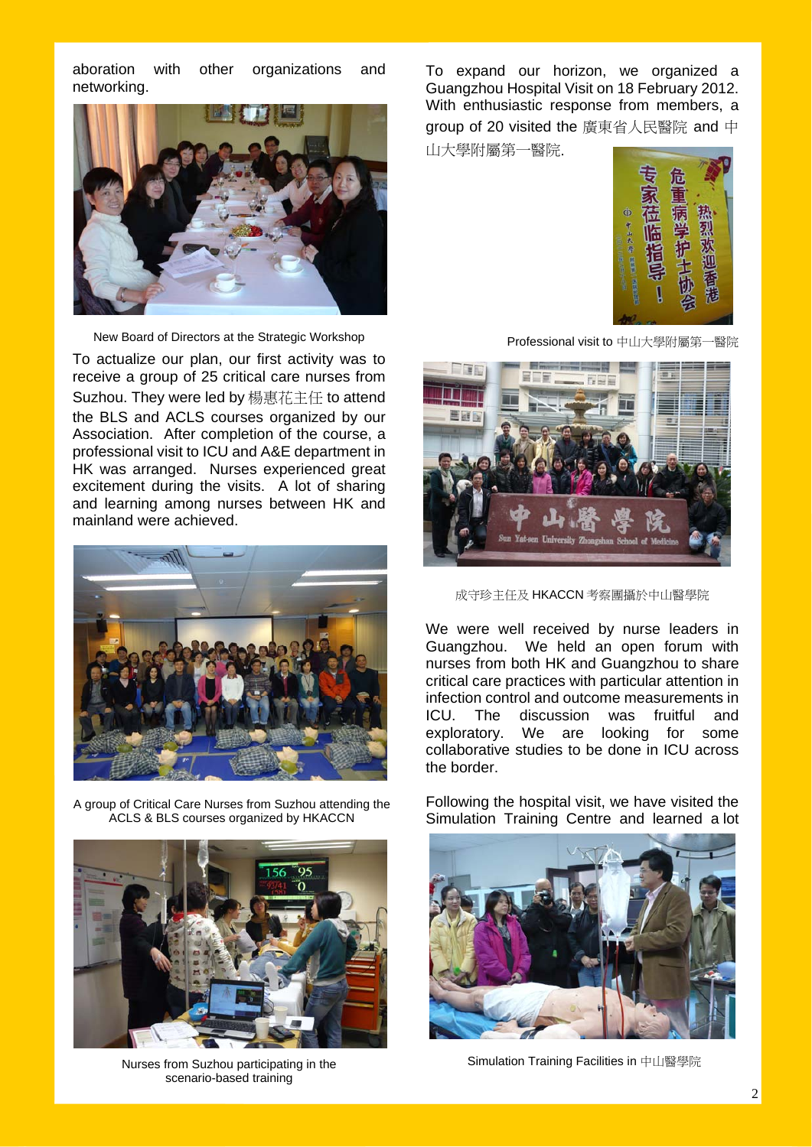aboration with other organizations and networking.



New Board of Directors at the Strategic Workshop

To actualize our plan, our first activity was to receive a group of 25 critical care nurses from Suzhou. They were led by 楊惠花主任 to attend the BLS and ACLS courses organized by our Association. After completion of the course, a professional visit to ICU and A&E department in HK was arranged. Nurses experienced great excitement during the visits. A lot of sharing and learning among nurses between HK and mainland were achieved.



A group of Critical Care Nurses from Suzhou attending the ACLS & BLS courses organized by HKACCN



Nurses from Suzhou participating in the scenario-based training

To expand our horizon, we organized a Guangzhou Hospital Visit on 18 February 2012. With enthusiastic response from members, a group of 20 visited the 廣東省人民醫院 and 中

山大學附屬第一醫院.



Professional visit to 中山大學附屬第一醫院



成守珍主任及 HKACCN 考察團攝於中山醫學院

We were well received by nurse leaders in Guangzhou. We held an open forum with nurses from both HK and Guangzhou to share critical care practices with particular attention in infection control and outcome measurements in ICU. The discussion was fruitful and exploratory. We are looking for some collaborative studies to be done in ICU across the border.

Following the hospital visit, we have visited the Simulation Training Centre and learned a lot



Simulation Training Facilities in 中山醫學院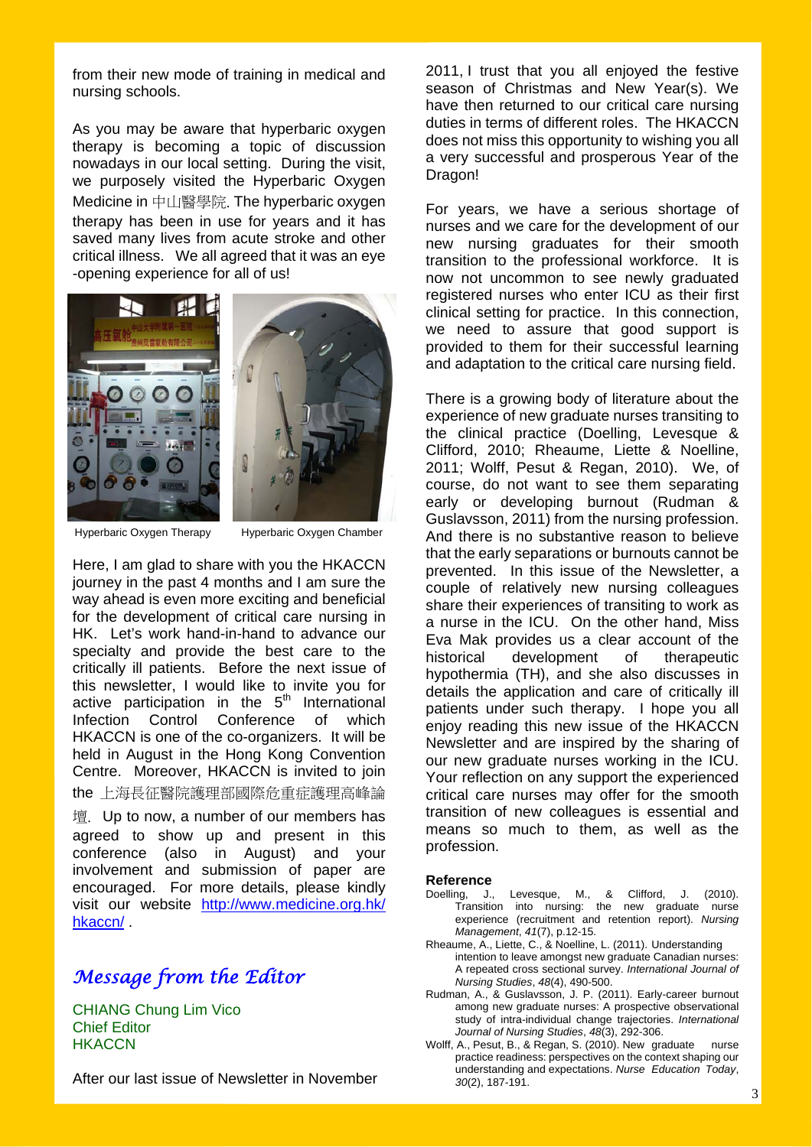from their new mode of training in medical and nursing schools.

As you may be aware that hyperbaric oxygen therapy is becoming a topic of discussion nowadays in our local setting. During the visit, we purposely visited the Hyperbaric Oxygen Medicine in 中山醫學院. The hyperbaric oxygen therapy has been in use for years and it has saved many lives from acute stroke and other critical illness. We all agreed that it was an eye -opening experience for all of us!



Hyperbaric Oxygen Therapy Hyperbaric Oxygen Chamber

Here, I am glad to share with you the HKACCN journey in the past 4 months and I am sure the way ahead is even more exciting and beneficial for the development of critical care nursing in HK. Let's work hand-in-hand to advance our specialty and provide the best care to the critically ill patients. Before the next issue of this newsletter, I would like to invite you for active participation in the  $5<sup>th</sup>$  International Infection Control Conference of which HKACCN is one of the co-organizers. It will be held in August in the Hong Kong Convention Centre. Moreover, HKACCN is invited to join the 上海長征醫院護理部國際危重症護理高峰論

壇. Up to now, a number of our members has agreed to show up and present in this conference (also in August) and your involvement and submission of paper are encouraged. For more details, please kindly visit our website http://www.medicine.org.hk/ hkaccn/ .

# *Message from the Editor*

CHIANG Chung Lim Vico Chief Editor **HKACCN** 

After our last issue of Newsletter in November

2011, I trust that you all enjoyed the festive season of Christmas and New Year(s). We have then returned to our critical care nursing duties in terms of different roles. The HKACCN does not miss this opportunity to wishing you all a very successful and prosperous Year of the Dragon!

For years, we have a serious shortage of nurses and we care for the development of our new nursing graduates for their smooth transition to the professional workforce. It is now not uncommon to see newly graduated registered nurses who enter ICU as their first clinical setting for practice. In this connection, we need to assure that good support is provided to them for their successful learning and adaptation to the critical care nursing field.

There is a growing body of literature about the experience of new graduate nurses transiting to the clinical practice (Doelling, Levesque & Clifford, 2010; Rheaume, Liette & Noelline, 2011; Wolff, Pesut & Regan, 2010). We, of course, do not want to see them separating early or developing burnout (Rudman & Guslavsson, 2011) from the nursing profession. And there is no substantive reason to believe that the early separations or burnouts cannot be prevented. In this issue of the Newsletter, a couple of relatively new nursing colleagues share their experiences of transiting to work as a nurse in the ICU. On the other hand, Miss Eva Mak provides us a clear account of the historical development of therapeutic hypothermia (TH), and she also discusses in details the application and care of critically ill patients under such therapy. I hope you all enjoy reading this new issue of the HKACCN Newsletter and are inspired by the sharing of our new graduate nurses working in the ICU. Your reflection on any support the experienced critical care nurses may offer for the smooth transition of new colleagues is essential and means so much to them, as well as the profession.

#### **Reference**

- Doelling, J., Levesque, M., & Clifford, J. (2010). Transition into nursing: the new graduate nurse experience (recruitment and retention report). *Nursing Management*, *41*(7), p.12-15.
- Rheaume, A., Liette, C., & Noelline, L. (2011). Understanding intention to leave amongst new graduate Canadian nurses: A repeated cross sectional survey. *International Journal of Nursing Studies*, *48*(4), 490-500.
- Rudman, A., & Guslavsson, J. P. (2011). Early-career burnout among new graduate nurses: A prospective observational study of intra-individual change trajectories. *International Journal of Nursing Studies*, *48*(3), 292-306.
- Wolff, A., Pesut, B., & Regan, S. (2010). New graduate nurse practice readiness: perspectives on the context shaping our understanding and expectations. *Nurse Education Today*, *30*(2), 187-191.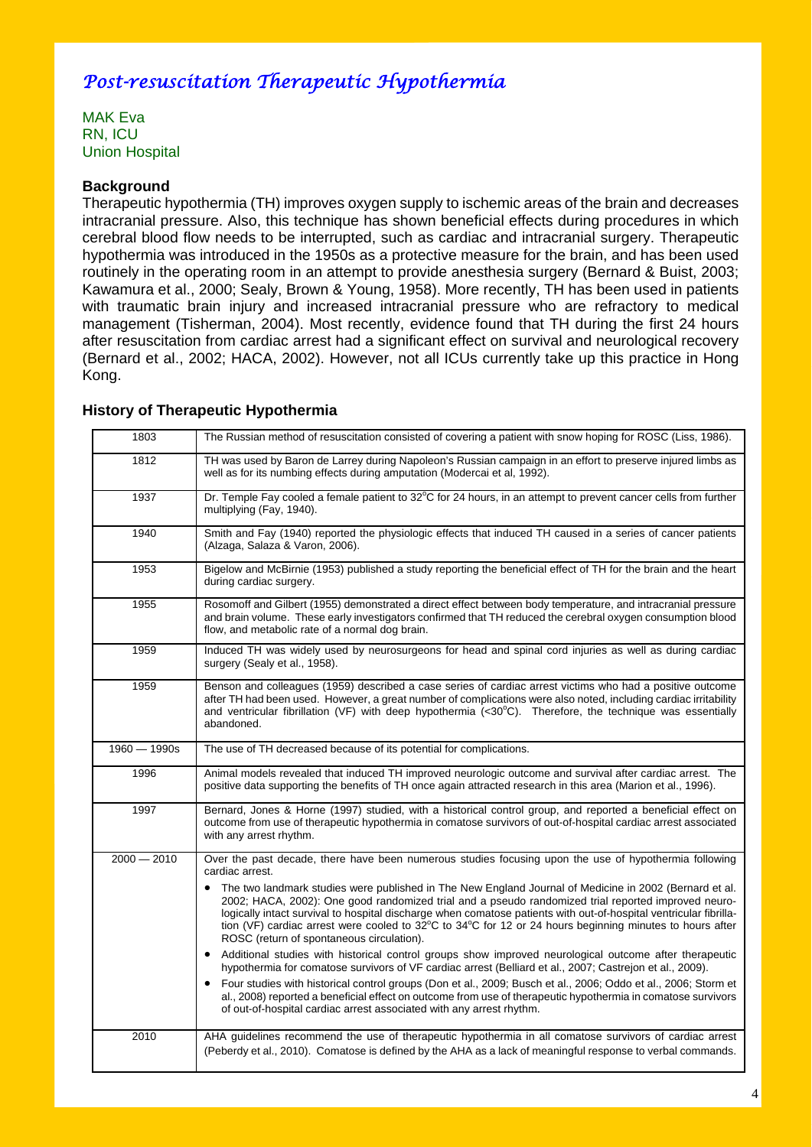# *Post-resuscitation Therapeutic Hypothermia*

MAK Eva RN, ICU Union Hospital

# **Background**

Therapeutic hypothermia (TH) improves oxygen supply to ischemic areas of the brain and decreases intracranial pressure. Also, this technique has shown beneficial effects during procedures in which cerebral blood flow needs to be interrupted, such as cardiac and intracranial surgery. Therapeutic hypothermia was introduced in the 1950s as a protective measure for the brain, and has been used routinely in the operating room in an attempt to provide anesthesia surgery (Bernard & Buist, 2003; Kawamura et al., 2000; Sealy, Brown & Young, 1958). More recently, TH has been used in patients with traumatic brain injury and increased intracranial pressure who are refractory to medical management (Tisherman, 2004). Most recently, evidence found that TH during the first 24 hours after resuscitation from cardiac arrest had a significant effect on survival and neurological recovery (Bernard et al., 2002; HACA, 2002). However, not all ICUs currently take up this practice in Hong Kong.

| 1803           | The Russian method of resuscitation consisted of covering a patient with snow hoping for ROSC (Liss, 1986).                                                                                                                                                                                                                                                                                                                                                                                                     |  |
|----------------|-----------------------------------------------------------------------------------------------------------------------------------------------------------------------------------------------------------------------------------------------------------------------------------------------------------------------------------------------------------------------------------------------------------------------------------------------------------------------------------------------------------------|--|
| 1812           | TH was used by Baron de Larrey during Napoleon's Russian campaign in an effort to preserve injured limbs as<br>well as for its numbing effects during amputation (Modercai et al, 1992).                                                                                                                                                                                                                                                                                                                        |  |
| 1937           | Dr. Temple Fay cooled a female patient to 32°C for 24 hours, in an attempt to prevent cancer cells from further<br>multiplying (Fay, 1940).                                                                                                                                                                                                                                                                                                                                                                     |  |
| 1940           | Smith and Fay (1940) reported the physiologic effects that induced TH caused in a series of cancer patients<br>(Alzaga, Salaza & Varon, 2006).                                                                                                                                                                                                                                                                                                                                                                  |  |
| 1953           | Bigelow and McBirnie (1953) published a study reporting the beneficial effect of TH for the brain and the heart<br>during cardiac surgery.                                                                                                                                                                                                                                                                                                                                                                      |  |
| 1955           | Rosomoff and Gilbert (1955) demonstrated a direct effect between body temperature, and intracranial pressure<br>and brain volume. These early investigators confirmed that TH reduced the cerebral oxygen consumption blood<br>flow, and metabolic rate of a normal dog brain.                                                                                                                                                                                                                                  |  |
| 1959           | Induced TH was widely used by neurosurgeons for head and spinal cord injuries as well as during cardiac<br>surgery (Sealy et al., 1958).                                                                                                                                                                                                                                                                                                                                                                        |  |
| 1959           | Benson and colleagues (1959) described a case series of cardiac arrest victims who had a positive outcome<br>after TH had been used. However, a great number of complications were also noted, including cardiac irritability<br>and ventricular fibrillation (VF) with deep hypothermia (<30 $^{\circ}$ C). Therefore, the technique was essentially<br>abandoned.                                                                                                                                             |  |
| $1960 - 1990s$ | The use of TH decreased because of its potential for complications.                                                                                                                                                                                                                                                                                                                                                                                                                                             |  |
| 1996           | Animal models revealed that induced TH improved neurologic outcome and survival after cardiac arrest. The<br>positive data supporting the benefits of TH once again attracted research in this area (Marion et al., 1996).                                                                                                                                                                                                                                                                                      |  |
| 1997           | Bernard, Jones & Horne (1997) studied, with a historical control group, and reported a beneficial effect on<br>outcome from use of therapeutic hypothermia in comatose survivors of out-of-hospital cardiac arrest associated<br>with any arrest rhythm.                                                                                                                                                                                                                                                        |  |
| $2000 - 2010$  | Over the past decade, there have been numerous studies focusing upon the use of hypothermia following<br>cardiac arrest.                                                                                                                                                                                                                                                                                                                                                                                        |  |
|                | The two landmark studies were published in The New England Journal of Medicine in 2002 (Bernard et al.<br>2002; HACA, 2002): One good randomized trial and a pseudo randomized trial reported improved neuro-<br>logically intact survival to hospital discharge when comatose patients with out-of-hospital ventricular fibrilla-<br>tion (VF) cardiac arrest were cooled to $32^{\circ}$ C to $34^{\circ}$ C for 12 or 24 hours beginning minutes to hours after<br>ROSC (return of spontaneous circulation). |  |
|                | Additional studies with historical control groups show improved neurological outcome after therapeutic<br>hypothermia for comatose survivors of VF cardiac arrest (Belliard et al., 2007; Castrejon et al., 2009).                                                                                                                                                                                                                                                                                              |  |
|                | Four studies with historical control groups (Don et al., 2009; Busch et al., 2006; Oddo et al., 2006; Storm et<br>al., 2008) reported a beneficial effect on outcome from use of therapeutic hypothermia in comatose survivors<br>of out-of-hospital cardiac arrest associated with any arrest rhythm.                                                                                                                                                                                                          |  |
| 2010           | AHA guidelines recommend the use of therapeutic hypothermia in all comatose survivors of cardiac arrest<br>(Peberdy et al., 2010). Comatose is defined by the AHA as a lack of meaningful response to verbal commands.                                                                                                                                                                                                                                                                                          |  |

### **History of Therapeutic Hypothermia**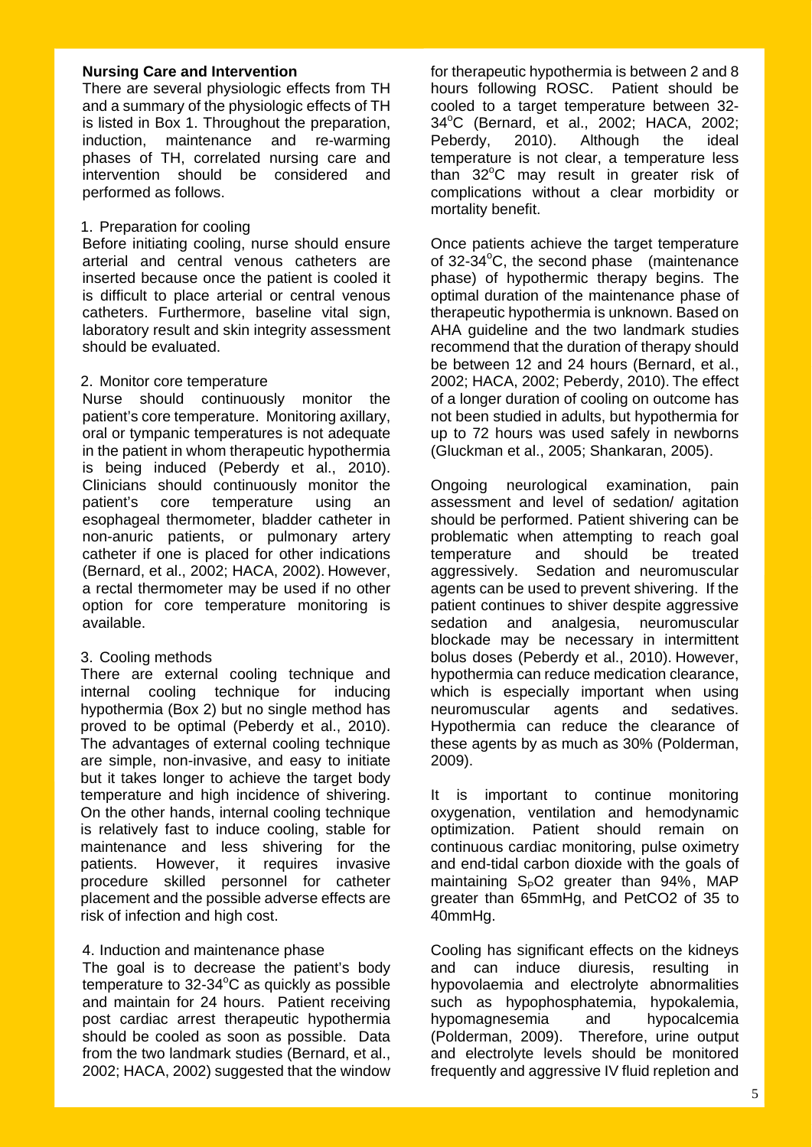### **Nursing Care and Intervention**

There are several physiologic effects from TH and a summary of the physiologic effects of TH is listed in Box 1. Throughout the preparation, induction, maintenance and re-warming phases of TH, correlated nursing care and intervention should be considered and performed as follows.

### 1. Preparation for cooling

Before initiating cooling, nurse should ensure arterial and central venous catheters are inserted because once the patient is cooled it is difficult to place arterial or central venous catheters. Furthermore, baseline vital sign, laboratory result and skin integrity assessment should be evaluated.

# 2. Monitor core temperature

Nurse should continuously monitor the patient's core temperature. Monitoring axillary, oral or tympanic temperatures is not adequate in the patient in whom therapeutic hypothermia is being induced (Peberdy et al., 2010). Clinicians should continuously monitor the patient's core temperature using an esophageal thermometer, bladder catheter in non-anuric patients, or pulmonary artery catheter if one is placed for other indications (Bernard, et al., 2002; HACA, 2002). However, a rectal thermometer may be used if no other option for core temperature monitoring is available.

# 3. Cooling methods

There are external cooling technique and internal cooling technique for inducing hypothermia (Box 2) but no single method has proved to be optimal (Peberdy et al., 2010). The advantages of external cooling technique are simple, non-invasive, and easy to initiate but it takes longer to achieve the target body temperature and high incidence of shivering. On the other hands, internal cooling technique is relatively fast to induce cooling, stable for maintenance and less shivering for the patients. However, it requires invasive procedure skilled personnel for catheter placement and the possible adverse effects are risk of infection and high cost.

### 4. Induction and maintenance phase

The goal is to decrease the patient's body temperature to 32-34°C as quickly as possible and maintain for 24 hours. Patient receiving post cardiac arrest therapeutic hypothermia should be cooled as soon as possible. Data from the two landmark studies (Bernard, et al., 2002; HACA, 2002) suggested that the window

for therapeutic hypothermia is between 2 and 8 hours following ROSC. Patient should be cooled to a target temperature between 32- 34°C (Bernard, et al., 2002; HACA, 2002; Peberdy, 2010). Although the ideal temperature is not clear, a temperature less than 32°C may result in greater risk of complications without a clear morbidity or mortality benefit.

Once patients achieve the target temperature of 32-34°C, the second phase (maintenance phase) of hypothermic therapy begins. The optimal duration of the maintenance phase of therapeutic hypothermia is unknown. Based on AHA guideline and the two landmark studies recommend that the duration of therapy should be between 12 and 24 hours (Bernard, et al., 2002; HACA, 2002; Peberdy, 2010). The effect of a longer duration of cooling on outcome has not been studied in adults, but hypothermia for up to 72 hours was used safely in newborns (Gluckman et al., 2005; Shankaran, 2005).

Ongoing neurological examination, pain assessment and level of sedation/ agitation should be performed. Patient shivering can be problematic when attempting to reach goal temperature and should be treated aggressively. Sedation and neuromuscular agents can be used to prevent shivering. If the patient continues to shiver despite aggressive sedation and analgesia, neuromuscular blockade may be necessary in intermittent bolus doses (Peberdy et al., 2010). However, hypothermia can reduce medication clearance, which is especially important when using neuromuscular agents and sedatives. Hypothermia can reduce the clearance of these agents by as much as 30% (Polderman, 2009).

It is important to continue monitoring oxygenation, ventilation and hemodynamic optimization. Patient should remain on continuous cardiac monitoring, pulse oximetry and end-tidal carbon dioxide with the goals of maintaining  $S_PO2$  greater than 94%, MAP greater than 65mmHg, and PetCO2 of 35 to 40mmHg.

Cooling has significant effects on the kidneys and can induce diuresis, resulting in hypovolaemia and electrolyte abnormalities such as hypophosphatemia, hypokalemia, hypomagnesemia and hypocalcemia (Polderman, 2009). Therefore, urine output and electrolyte levels should be monitored frequently and aggressive IV fluid repletion and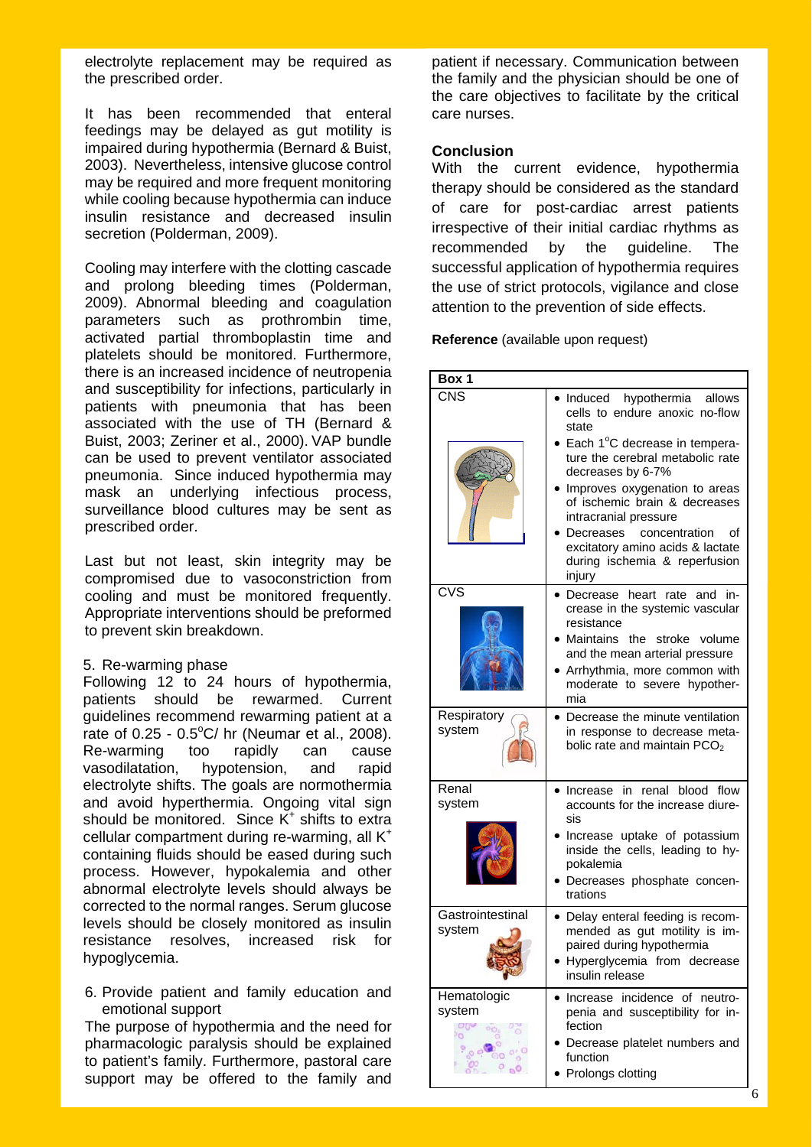electrolyte replacement may be required as the prescribed order.

It has been recommended that enteral feedings may be delayed as gut motility is impaired during hypothermia (Bernard & Buist, 2003). Nevertheless, intensive glucose control may be required and more frequent monitoring while cooling because hypothermia can induce insulin resistance and decreased insulin secretion (Polderman, 2009).

Cooling may interfere with the clotting cascade and prolong bleeding times (Polderman, 2009). Abnormal bleeding and coagulation parameters such as prothrombin time, activated partial thromboplastin time and platelets should be monitored. Furthermore, there is an increased incidence of neutropenia and susceptibility for infections, particularly in patients with pneumonia that has been associated with the use of TH (Bernard & Buist, 2003; Zeriner et al., 2000). VAP bundle can be used to prevent ventilator associated pneumonia. Since induced hypothermia may mask an underlying infectious process, surveillance blood cultures may be sent as prescribed order.

Last but not least, skin integrity may be compromised due to vasoconstriction from cooling and must be monitored frequently. Appropriate interventions should be preformed to prevent skin breakdown.

### 5. Re-warming phase

 Following 12 to 24 hours of hypothermia, patients should be rewarmed. Current guidelines recommend rewarming patient at a rate of  $0.25 - 0.5^{\circ}$ C/ hr (Neumar et al., 2008). Re-warming too rapidly can cause vasodilatation, hypotension, and rapid electrolyte shifts. The goals are normothermia and avoid hyperthermia. Ongoing vital sign should be monitored. Since  $K^+$  shifts to extra cellular compartment during re-warming, all K<sup>+</sup> containing fluids should be eased during such process. However, hypokalemia and other abnormal electrolyte levels should always be corrected to the normal ranges. Serum glucose levels should be closely monitored as insulin resistance resolves, increased risk for hypoglycemia.

6. Provide patient and family education and emotional support

The purpose of hypothermia and the need for pharmacologic paralysis should be explained to patient's family. Furthermore, pastoral care support may be offered to the family and patient if necessary. Communication between the family and the physician should be one of the care objectives to facilitate by the critical care nurses.

### **Conclusion**

With the current evidence, hypothermia therapy should be considered as the standard of care for post-cardiac arrest patients irrespective of their initial cardiac rhythms as recommended by the guideline. The successful application of hypothermia requires the use of strict protocols, vigilance and close attention to the prevention of side effects.

**Reference** (available upon request)

| Box 1                              |                                                                                                                                                   |  |  |  |
|------------------------------------|---------------------------------------------------------------------------------------------------------------------------------------------------|--|--|--|
| CNS                                | Induced<br>hypothermia<br>allows<br>cells to endure anoxic no-flow<br>state                                                                       |  |  |  |
|                                    | Each 1°C decrease in tempera-<br>ture the cerebral metabolic rate<br>decreases by 6-7%                                                            |  |  |  |
|                                    | Improves oxygenation to areas<br>of ischemic brain & decreases<br>intracranial pressure                                                           |  |  |  |
|                                    | Decreases<br>concentration<br>οf<br>excitatory amino acids & lactate<br>during ischemia & reperfusion<br>injury                                   |  |  |  |
| $\overline{\text{CVS}}$            | Decrease heart<br>rate<br>and in-<br>crease in the systemic vascular<br>resistance                                                                |  |  |  |
|                                    | Maintains the stroke volume<br>and the mean arterial pressure<br>Arrhythmia, more common with<br>moderate to severe hypother-<br>mia              |  |  |  |
| Respiratory<br>system              | Decrease the minute ventilation<br>in response to decrease meta-<br>bolic rate and maintain PCO <sub>2</sub>                                      |  |  |  |
| Renal<br>system                    | renal blood flow<br>Increase in<br>accounts for the increase diure-<br>sis                                                                        |  |  |  |
|                                    | Increase uptake of potassium<br>inside the cells, leading to hy-<br>pokalemia<br>Decreases phosphate concen-<br>trations                          |  |  |  |
| Gastrointestinal<br>system         | · Delay enteral feeding is recom-<br>mended as gut motility is im-<br>paired during hypothermia<br>Hyperglycemia from decrease<br>insulin release |  |  |  |
| Hematologic<br>system<br><b>OG</b> | Increase incidence of neutro-<br>penia and susceptibility for in-<br>fection<br>Decrease platelet numbers and<br>function<br>Prolongs clotting    |  |  |  |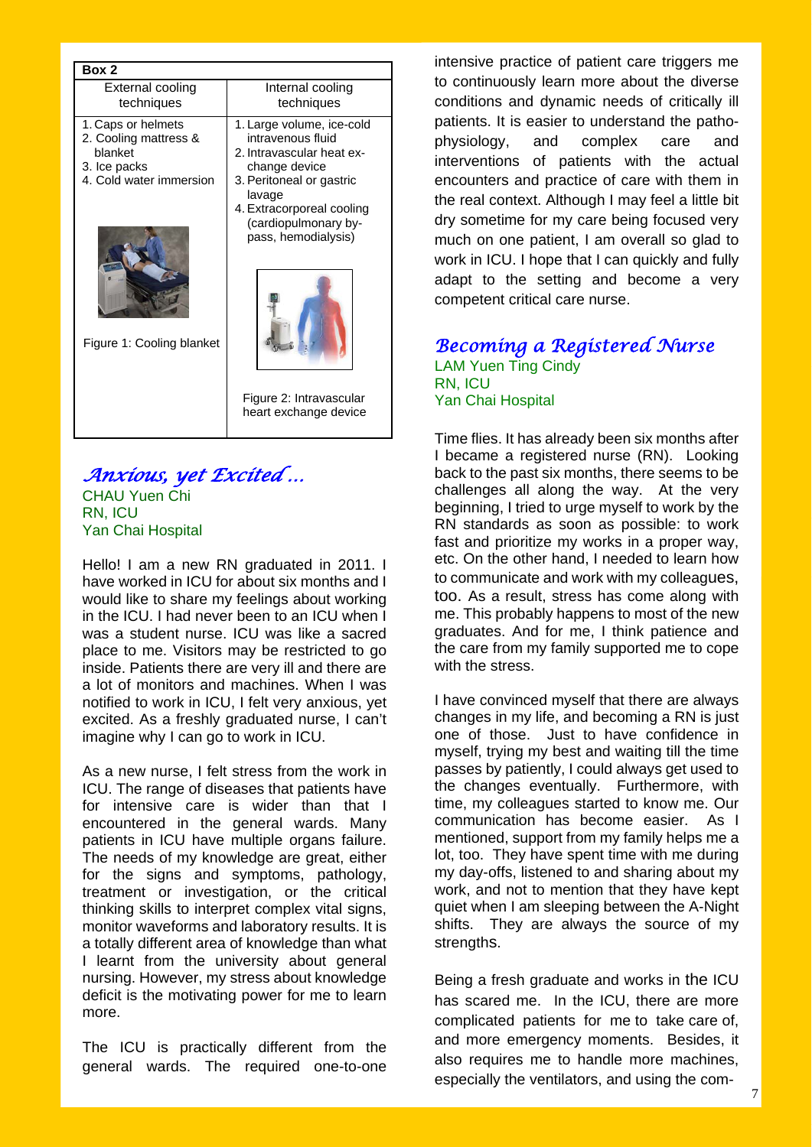| External cooling<br>Internal cooling<br>techniques<br>techniques<br>1. Large volume, ice-cold<br>1. Caps or helmets<br>2. Cooling mattress &<br>intravenous fluid<br>blanket<br>2. Intravascular heat ex-<br>3. Ice packs<br>change device<br>4. Cold water immersion<br>3. Peritoneal or gastric<br>lavage<br>4. Extracorporeal cooling<br>(cardiopulmonary by-<br>pass, hemodialysis) | Box 2 |  |  |  |
|-----------------------------------------------------------------------------------------------------------------------------------------------------------------------------------------------------------------------------------------------------------------------------------------------------------------------------------------------------------------------------------------|-------|--|--|--|
|                                                                                                                                                                                                                                                                                                                                                                                         |       |  |  |  |
| Figure 1: Cooling blanket<br>Figure 2: Intravascular<br>heart exchange device                                                                                                                                                                                                                                                                                                           |       |  |  |  |

# *Anxious, yet Excited …*

CHAU Yuen Chi RN, ICU Yan Chai Hospital

Hello! I am a new RN graduated in 2011. I have worked in ICU for about six months and I would like to share my feelings about working in the ICU. I had never been to an ICU when I was a student nurse. ICU was like a sacred place to me. Visitors may be restricted to go inside. Patients there are very ill and there are a lot of monitors and machines. When I was notified to work in ICU, I felt very anxious, yet excited. As a freshly graduated nurse, I can't imagine why I can go to work in ICU.

As a new nurse, I felt stress from the work in ICU. The range of diseases that patients have for intensive care is wider than that I encountered in the general wards. Many patients in ICU have multiple organs failure. The needs of my knowledge are great, either for the signs and symptoms, pathology, treatment or investigation, or the critical thinking skills to interpret complex vital signs, monitor waveforms and laboratory results. It is a totally different area of knowledge than what I learnt from the university about general nursing. However, my stress about knowledge deficit is the motivating power for me to learn more.

The ICU is practically different from the general wards. The required one-to-one

intensive practice of patient care triggers me to continuously learn more about the diverse conditions and dynamic needs of critically ill patients. It is easier to understand the pathophysiology, and complex care and interventions of patients with the actual encounters and practice of care with them in the real context. Although I may feel a little bit dry sometime for my care being focused very much on one patient, I am overall so glad to work in ICU. I hope that I can quickly and fully adapt to the setting and become a very competent critical care nurse.

# *Becoming a Registered Nurse*  LAM Yuen Ting Cindy RN, ICU Yan Chai Hospital

Time flies. It has already been six months after I became a registered nurse (RN). Looking back to the past six months, there seems to be challenges all along the way. At the very beginning, I tried to urge myself to work by the RN standards as soon as possible: to work fast and prioritize my works in a proper way, etc. On the other hand, I needed to learn how to communicate and work with my colleagues, too. As a result, stress has come along with me. This probably happens to most of the new graduates. And for me, I think patience and the care from my family supported me to cope with the stress.

I have convinced myself that there are always changes in my life, and becoming a RN is just one of those. Just to have confidence in myself, trying my best and waiting till the time passes by patiently, I could always get used to the changes eventually. Furthermore, with time, my colleagues started to know me. Our communication has become easier. As I mentioned, support from my family helps me a lot, too. They have spent time with me during my day-offs, listened to and sharing about my work, and not to mention that they have kept quiet when I am sleeping between the A-Night shifts. They are always the source of my strengths.

Being a fresh graduate and works in the ICU has scared me. In the ICU, there are more complicated patients for me to take care of, and more emergency moments. Besides, it also requires me to handle more machines, especially the ventilators, and using the com-